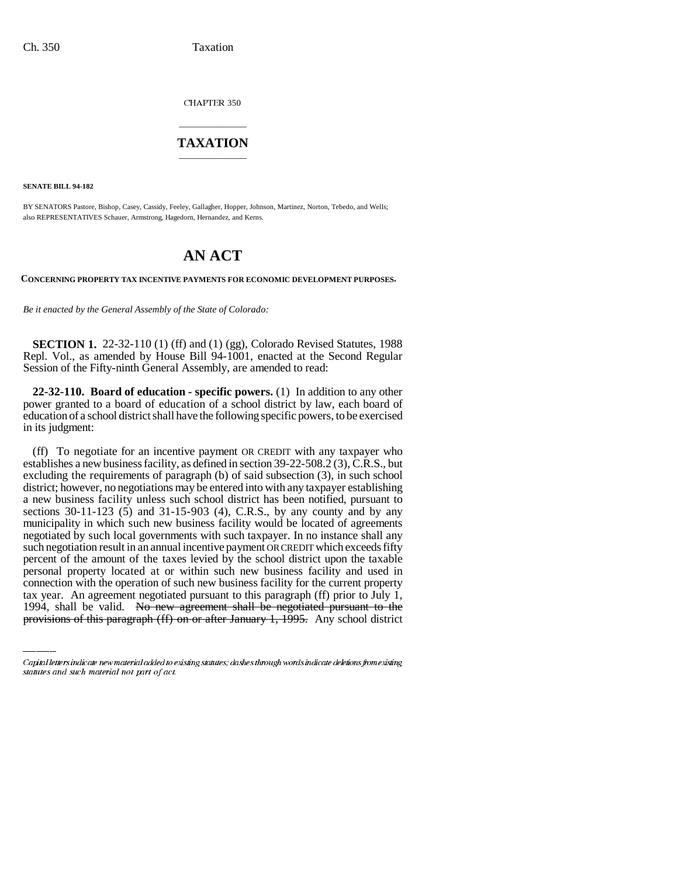CHAPTER 350

### \_\_\_\_\_\_\_\_\_\_\_\_\_\_\_ **TAXATION** \_\_\_\_\_\_\_\_\_\_\_\_\_\_\_

**SENATE BILL 94-182**

BY SENATORS Pastore, Bishop, Casey, Cassidy, Feeley, Gallagher, Hopper, Johnson, Martinez, Norton, Tebedo, and Wells; also REPRESENTATIVES Schauer, Armstrong, Hagedorn, Hernandez, and Kerns.

# **AN ACT**

**CONCERNING PROPERTY TAX INCENTIVE PAYMENTS FOR ECONOMIC DEVELOPMENT PURPOSES.**

*Be it enacted by the General Assembly of the State of Colorado:*

**SECTION 1.** 22-32-110 (1) (ff) and (1) (gg), Colorado Revised Statutes, 1988 Repl. Vol., as amended by House Bill 94-1001, enacted at the Second Regular Session of the Fifty-ninth General Assembly, are amended to read:

**22-32-110. Board of education - specific powers.** (1) In addition to any other power granted to a board of education of a school district by law, each board of education of a school district shall have the following specific powers, to be exercised in its judgment:

personal property located at or within such new business facility and used in (ff) To negotiate for an incentive payment OR CREDIT with any taxpayer who establishes a new business facility, as defined in section 39-22-508.2 (3), C.R.S., but excluding the requirements of paragraph (b) of said subsection (3), in such school district; however, no negotiations may be entered into with any taxpayer establishing a new business facility unless such school district has been notified, pursuant to sections 30-11-123 (5) and 31-15-903 (4), C.R.S., by any county and by any municipality in which such new business facility would be located of agreements negotiated by such local governments with such taxpayer. In no instance shall any such negotiation result in an annual incentive payment OR CREDIT which exceeds fifty percent of the amount of the taxes levied by the school district upon the taxable connection with the operation of such new business facility for the current property tax year. An agreement negotiated pursuant to this paragraph (ff) prior to July 1, 1994, shall be valid. No new agreement shall be negotiated pursuant to the provisions of this paragraph (ff) on or after January 1, 1995. Any school district

Capital letters indicate new material added to existing statutes; dashes through words indicate deletions from existing statutes and such material not part of act.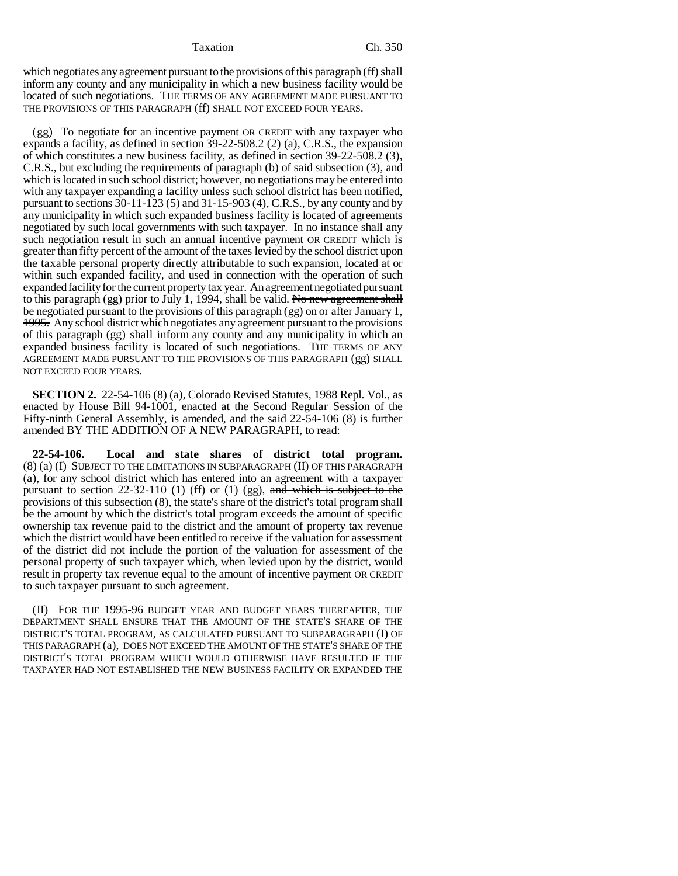#### Taxation Ch. 350

which negotiates any agreement pursuant to the provisions of this paragraph (ff) shall inform any county and any municipality in which a new business facility would be located of such negotiations. THE TERMS OF ANY AGREEMENT MADE PURSUANT TO THE PROVISIONS OF THIS PARAGRAPH (ff) SHALL NOT EXCEED FOUR YEARS.

(gg) To negotiate for an incentive payment OR CREDIT with any taxpayer who expands a facility, as defined in section 39-22-508.2 (2) (a), C.R.S., the expansion of which constitutes a new business facility, as defined in section 39-22-508.2 (3), C.R.S., but excluding the requirements of paragraph (b) of said subsection (3), and which is located in such school district; however, no negotiations may be entered into with any taxpayer expanding a facility unless such school district has been notified, pursuant to sections  $30-11-123$  (5) and  $31-15-903$  (4), C.R.S., by any county and by any municipality in which such expanded business facility is located of agreements negotiated by such local governments with such taxpayer. In no instance shall any such negotiation result in such an annual incentive payment OR CREDIT which is greater than fifty percent of the amount of the taxes levied by the school district upon the taxable personal property directly attributable to such expansion, located at or within such expanded facility, and used in connection with the operation of such expanded facility for the current property tax year. An agreement negotiated pursuant to this paragraph  $(gg)$  prior to July 1, 1994, shall be valid. No new agreement shall be negotiated pursuant to the provisions of this paragraph (gg) on or after January 1, 1995. Any school district which negotiates any agreement pursuant to the provisions of this paragraph (gg) shall inform any county and any municipality in which an expanded business facility is located of such negotiations. THE TERMS OF ANY AGREEMENT MADE PURSUANT TO THE PROVISIONS OF THIS PARAGRAPH (gg) SHALL NOT EXCEED FOUR YEARS.

**SECTION 2.** 22-54-106 (8) (a), Colorado Revised Statutes, 1988 Repl. Vol., as enacted by House Bill 94-1001, enacted at the Second Regular Session of the Fifty-ninth General Assembly, is amended, and the said 22-54-106 (8) is further amended BY THE ADDITION OF A NEW PARAGRAPH, to read:

**22-54-106. Local and state shares of district total program.** (8) (a) (I) SUBJECT TO THE LIMITATIONS IN SUBPARAGRAPH (II) OF THIS PARAGRAPH (a), for any school district which has entered into an agreement with a taxpayer pursuant to section 22-32-110 (1) (ff) or (1) (gg), and which is subject to the provisions of this subsection  $(8)$ , the state's share of the district's total program shall be the amount by which the district's total program exceeds the amount of specific ownership tax revenue paid to the district and the amount of property tax revenue which the district would have been entitled to receive if the valuation for assessment of the district did not include the portion of the valuation for assessment of the personal property of such taxpayer which, when levied upon by the district, would result in property tax revenue equal to the amount of incentive payment OR CREDIT to such taxpayer pursuant to such agreement.

(II) FOR THE 1995-96 BUDGET YEAR AND BUDGET YEARS THEREAFTER, THE DEPARTMENT SHALL ENSURE THAT THE AMOUNT OF THE STATE'S SHARE OF THE DISTRICT'S TOTAL PROGRAM, AS CALCULATED PURSUANT TO SUBPARAGRAPH (I) OF THIS PARAGRAPH (a), DOES NOT EXCEED THE AMOUNT OF THE STATE'S SHARE OF THE DISTRICT'S TOTAL PROGRAM WHICH WOULD OTHERWISE HAVE RESULTED IF THE TAXPAYER HAD NOT ESTABLISHED THE NEW BUSINESS FACILITY OR EXPANDED THE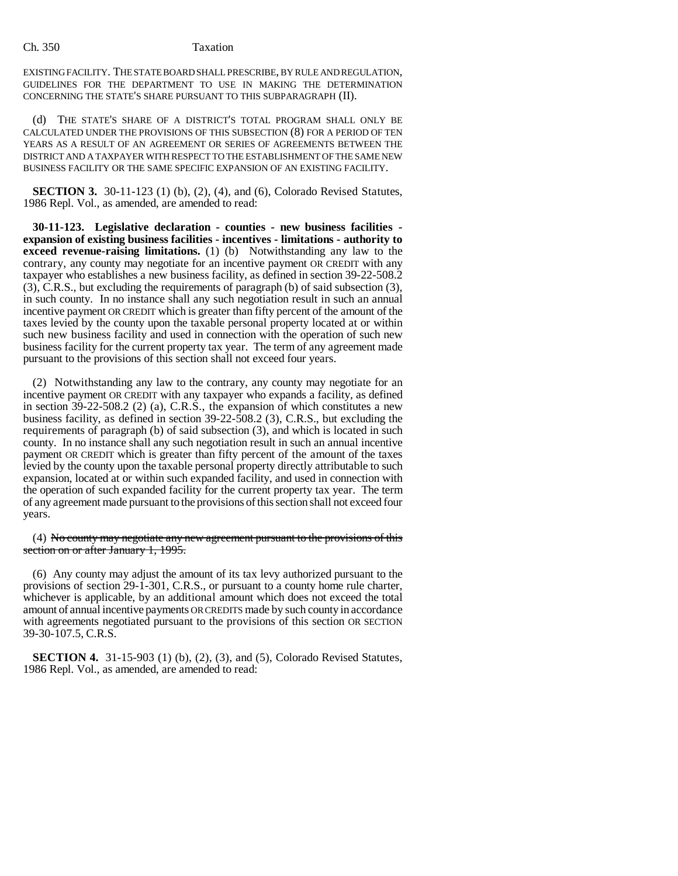#### Ch. 350 Taxation

EXISTING FACILITY. THE STATE BOARD SHALL PRESCRIBE, BY RULE AND REGULATION, GUIDELINES FOR THE DEPARTMENT TO USE IN MAKING THE DETERMINATION CONCERNING THE STATE'S SHARE PURSUANT TO THIS SUBPARAGRAPH (II).

(d) THE STATE'S SHARE OF A DISTRICT'S TOTAL PROGRAM SHALL ONLY BE CALCULATED UNDER THE PROVISIONS OF THIS SUBSECTION (8) FOR A PERIOD OF TEN YEARS AS A RESULT OF AN AGREEMENT OR SERIES OF AGREEMENTS BETWEEN THE DISTRICT AND A TAXPAYER WITH RESPECT TO THE ESTABLISHMENT OF THE SAME NEW BUSINESS FACILITY OR THE SAME SPECIFIC EXPANSION OF AN EXISTING FACILITY.

**SECTION 3.** 30-11-123 (1) (b), (2), (4), and (6), Colorado Revised Statutes, 1986 Repl. Vol., as amended, are amended to read:

**30-11-123. Legislative declaration - counties - new business facilities expansion of existing business facilities - incentives - limitations - authority to exceed revenue-raising limitations.** (1) (b) Notwithstanding any law to the contrary, any county may negotiate for an incentive payment OR CREDIT with any taxpayer who establishes a new business facility, as defined in section 39-22-508.2 (3), C.R.S., but excluding the requirements of paragraph (b) of said subsection (3), in such county. In no instance shall any such negotiation result in such an annual incentive payment OR CREDIT which is greater than fifty percent of the amount of the taxes levied by the county upon the taxable personal property located at or within such new business facility and used in connection with the operation of such new business facility for the current property tax year. The term of any agreement made pursuant to the provisions of this section shall not exceed four years.

(2) Notwithstanding any law to the contrary, any county may negotiate for an incentive payment OR CREDIT with any taxpayer who expands a facility, as defined in section 39-22-508.2 (2) (a), C.R.S., the expansion of which constitutes a new business facility, as defined in section 39-22-508.2 (3), C.R.S., but excluding the requirements of paragraph (b) of said subsection (3), and which is located in such county. In no instance shall any such negotiation result in such an annual incentive payment OR CREDIT which is greater than fifty percent of the amount of the taxes levied by the county upon the taxable personal property directly attributable to such expansion, located at or within such expanded facility, and used in connection with the operation of such expanded facility for the current property tax year. The term of any agreement made pursuant to the provisions of this section shall not exceed four years.

(4) No county may negotiate any new agreement pursuant to the provisions of this section on or after January 1, 1995.

(6) Any county may adjust the amount of its tax levy authorized pursuant to the provisions of section 29-1-301, C.R.S., or pursuant to a county home rule charter, whichever is applicable, by an additional amount which does not exceed the total amount of annual incentive payments OR CREDITS made by such county in accordance with agreements negotiated pursuant to the provisions of this section OR SECTION 39-30-107.5, C.R.S.

**SECTION 4.** 31-15-903 (1) (b), (2), (3), and (5), Colorado Revised Statutes, 1986 Repl. Vol., as amended, are amended to read: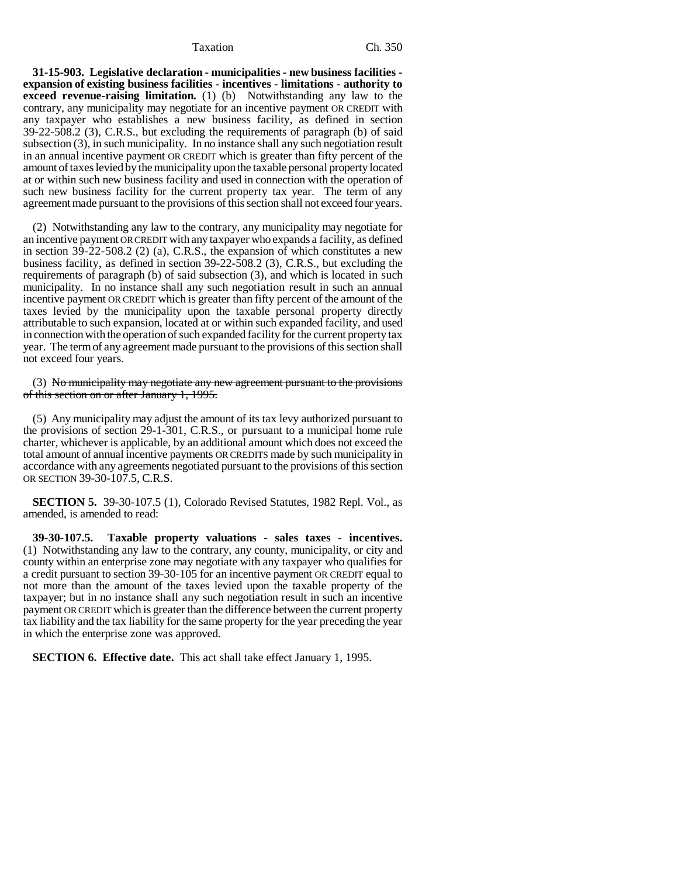#### Taxation Ch. 350

**31-15-903. Legislative declaration - municipalities - new business facilities expansion of existing business facilities - incentives - limitations - authority to exceed revenue-raising limitation.** (1) (b) Notwithstanding any law to the contrary, any municipality may negotiate for an incentive payment OR CREDIT with any taxpayer who establishes a new business facility, as defined in section 39-22-508.2 (3), C.R.S., but excluding the requirements of paragraph (b) of said subsection (3), in such municipality. In no instance shall any such negotiation result in an annual incentive payment OR CREDIT which is greater than fifty percent of the amount of taxes levied by the municipality upon the taxable personal property located at or within such new business facility and used in connection with the operation of such new business facility for the current property tax year. The term of any agreement made pursuant to the provisions of this section shall not exceed four years.

(2) Notwithstanding any law to the contrary, any municipality may negotiate for an incentive payment OR CREDIT with any taxpayer who expands a facility, as defined in section 39-22-508.2 (2) (a), C.R.S., the expansion of which constitutes a new business facility, as defined in section 39-22-508.2 (3), C.R.S., but excluding the requirements of paragraph (b) of said subsection (3), and which is located in such municipality. In no instance shall any such negotiation result in such an annual incentive payment OR CREDIT which is greater than fifty percent of the amount of the taxes levied by the municipality upon the taxable personal property directly attributable to such expansion, located at or within such expanded facility, and used in connection with the operation of such expanded facility for the current property tax year. The term of any agreement made pursuant to the provisions of this section shall not exceed four years.

(3) No municipality may negotiate any new agreement pursuant to the provisions of this section on or after January 1, 1995.

(5) Any municipality may adjust the amount of its tax levy authorized pursuant to the provisions of section 29-1-301, C.R.S., or pursuant to a municipal home rule charter, whichever is applicable, by an additional amount which does not exceed the total amount of annual incentive payments OR CREDITS made by such municipality in accordance with any agreements negotiated pursuant to the provisions of this section OR SECTION 39-30-107.5, C.R.S.

**SECTION 5.** 39-30-107.5 (1), Colorado Revised Statutes, 1982 Repl. Vol., as amended, is amended to read:

**39-30-107.5. Taxable property valuations - sales taxes - incentives.** (1) Notwithstanding any law to the contrary, any county, municipality, or city and county within an enterprise zone may negotiate with any taxpayer who qualifies for a credit pursuant to section 39-30-105 for an incentive payment OR CREDIT equal to not more than the amount of the taxes levied upon the taxable property of the taxpayer; but in no instance shall any such negotiation result in such an incentive payment OR CREDIT which is greater than the difference between the current property tax liability and the tax liability for the same property for the year preceding the year in which the enterprise zone was approved.

**SECTION 6. Effective date.** This act shall take effect January 1, 1995.